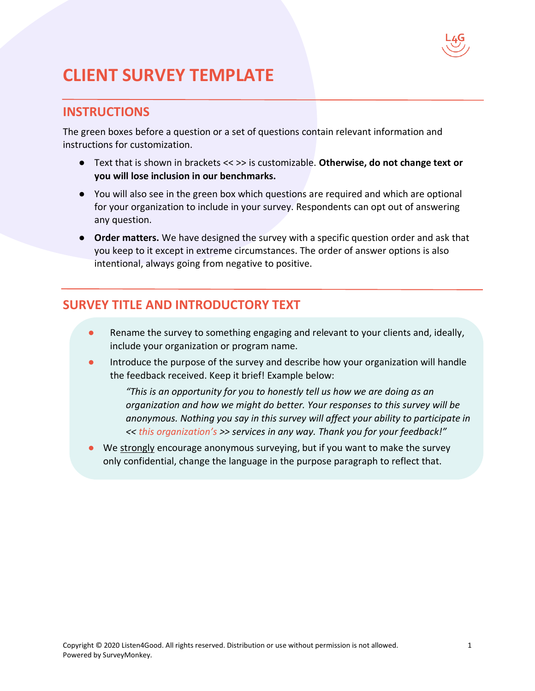

# **CLIENT SURVEY TEMPLATE**

#### **INSTRUCTIONS**

The green boxes before a question or a set of questions contain relevant information and instructions for customization.

- Text that is shown in brackets << >> is customizable. **Otherwise, do not change text or you will lose inclusion in our benchmarks.**
- You will also see in the green box which questions are required and which are optional for your organization to include in your survey. Respondents can opt out of answering any question.
- **Order matters.** We have designed the survey with a specific question order and ask that you keep to it except in extreme circumstances. The order of answer options is also intentional, always going from negative to positive.

## **SURVEY TITLE AND INTRODUCTORY TEXT**

- Rename the survey to something engaging and relevant to your clients and, ideally, include your organization or program name.
- Introduce the purpose of the survey and describe how your organization will handle the feedback received. Keep it brief! Example below:

*"This is an opportunity for you to honestly tell us how we are doing as an organization and how we might do better. Your responses to this survey will be anonymous. Nothing you say in this survey will affect your ability to participate in << this organization's >> services in any way. Thank you for your feedback!"*

We strongly encourage anonymous surveying, but if you want to make the survey only confidential, change the language in the purpose paragraph to reflect that.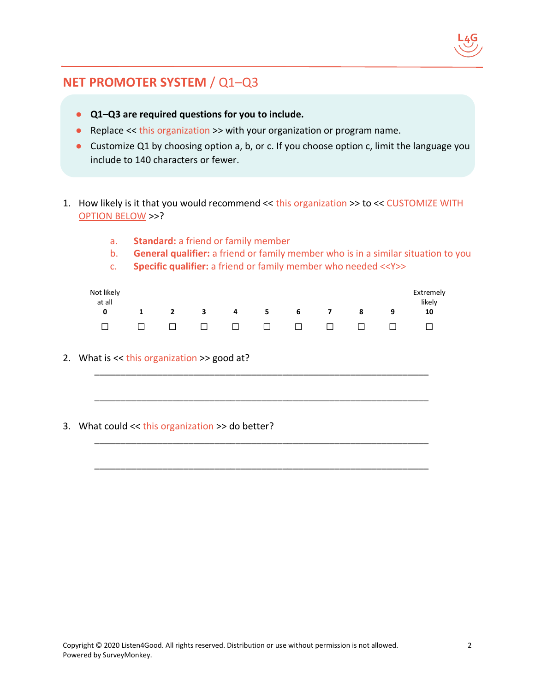

## **NET PROMOTER SYSTEM** / Q1–Q3

- **Q1–Q3 are required questions for you to include.**
- Replace << this organization >> with your organization or program name.
- Customize Q1 by choosing option a, b, or c. If you choose option c, limit the language you include to 140 characters or fewer.
- 1. How likely is it that you would recommend << this organization >> to << CUSTOMIZE WITH OPTION BELOW >>?
	- a. **Standard:** a friend or family member
	- b. **General qualifier:** a friend or family member who is in a similar situation to you
	- c. **Specific qualifier:** a friend or family member who needed <<Y>>

| Not likely<br>at all |        |        |              |   |         |   |                |        | Extremely<br>likely |
|----------------------|--------|--------|--------------|---|---------|---|----------------|--------|---------------------|
| $\Omega$             |        |        | $\mathbf{3}$ | 4 | - 5     | 6 | $\overline{7}$ | 8      | 10                  |
|                      | $\Box$ | $\Box$ |              |   | nn nn n |   |                | $\Box$ |                     |

\_\_\_\_\_\_\_\_\_\_\_\_\_\_\_\_\_\_\_\_\_\_\_\_\_\_\_\_\_\_\_\_\_\_\_\_\_\_\_\_\_\_\_\_\_\_\_\_\_\_\_\_\_\_\_\_\_\_\_\_\_\_\_\_

\_\_\_\_\_\_\_\_\_\_\_\_\_\_\_\_\_\_\_\_\_\_\_\_\_\_\_\_\_\_\_\_\_\_\_\_\_\_\_\_\_\_\_\_\_\_\_\_\_\_\_\_\_\_\_\_\_\_\_\_\_\_\_\_

\_\_\_\_\_\_\_\_\_\_\_\_\_\_\_\_\_\_\_\_\_\_\_\_\_\_\_\_\_\_\_\_\_\_\_\_\_\_\_\_\_\_\_\_\_\_\_\_\_\_\_\_\_\_\_\_\_\_\_\_\_\_\_\_

\_\_\_\_\_\_\_\_\_\_\_\_\_\_\_\_\_\_\_\_\_\_\_\_\_\_\_\_\_\_\_\_\_\_\_\_\_\_\_\_\_\_\_\_\_\_\_\_\_\_\_\_\_\_\_\_\_\_\_\_\_\_\_\_

- 2. What is << this organization >> good at?
- 3. What could << this organization >> do better?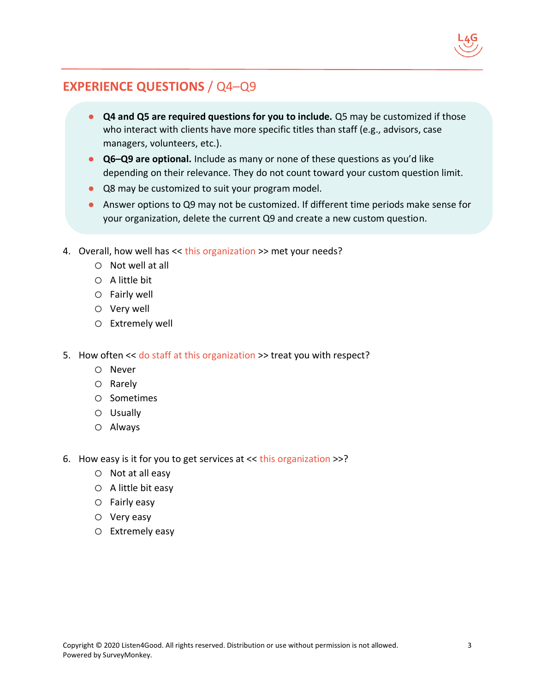

#### **EXPERIENCE QUESTIONS** / Q4–Q9

- **Q4 and Q5 are required questions for you to include.** Q5 may be customized if those who interact with clients have more specific titles than staff (e.g., advisors, case managers, volunteers, etc.).
- **Q6–Q9 are optional.** Include as many or none of these questions as you'd like depending on their relevance. They do not count toward your custom question limit.
- Q8 may be customized to suit your program model.
- Answer options to Q9 may not be customized. If different time periods make sense for your organization, delete the current Q9 and create a new custom question.
- 4. Overall, how well has << this organization >> met your needs?
	- o Not well at all
	- o A little bit
	- o Fairly well
	- o Very well
	- o Extremely well
- 5. How often << do staff at this organization >> treat you with respect?
	- o Never
	- o Rarely
	- o Sometimes
	- o Usually
	- o Always
- 6. How easy is it for you to get services at  $<<$  this organization >>?
	- o Not at all easy
	- $\circ$  A little bit easy
	- o Fairly easy
	- o Very easy
	- o Extremely easy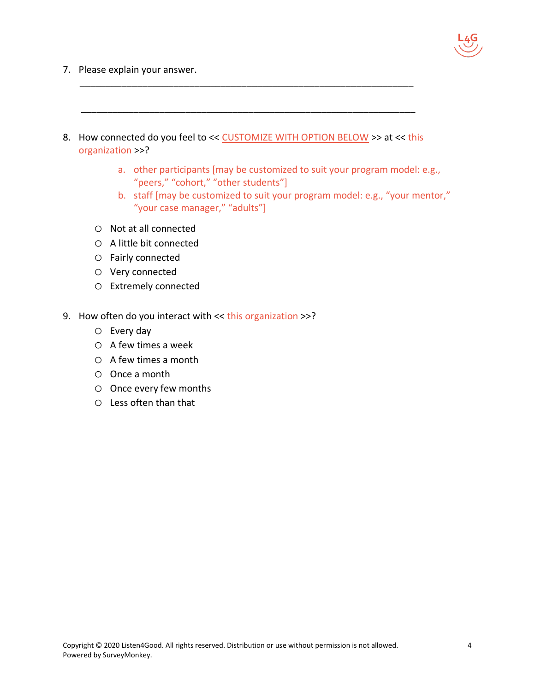

- 7. Please explain your answer.
- 8. How connected do you feel to << CUSTOMIZE WITH OPTION BELOW >> at << this organization >>?

\_\_\_\_\_\_\_\_\_\_\_\_\_\_\_\_\_\_\_\_\_\_\_\_\_\_\_\_\_\_\_\_\_\_\_\_\_\_\_\_\_\_\_\_\_\_\_\_\_\_\_\_\_\_\_\_\_\_\_\_\_\_\_\_

\_\_\_\_\_\_\_\_\_\_\_\_\_\_\_\_\_\_\_\_\_\_\_\_\_\_\_\_\_\_\_\_\_\_\_\_\_\_\_\_\_\_\_\_\_\_\_\_\_\_\_\_\_\_\_\_\_\_\_\_\_\_\_\_

- a. other participants [may be customized to suit your program model: e.g., "peers," "cohort," "other students"]
- b. staff [may be customized to suit your program model: e.g., "your mentor," "your case manager," "adults"]
- o Not at all connected
- o A little bit connected
- o Fairly connected
- o Very connected
- o Extremely connected
- 9. How often do you interact with << this organization >>?
	- o Every day
	- o A few times a week
	- o A few times a month
	- o Once a month
	- o Once every few months
	- o Less often than that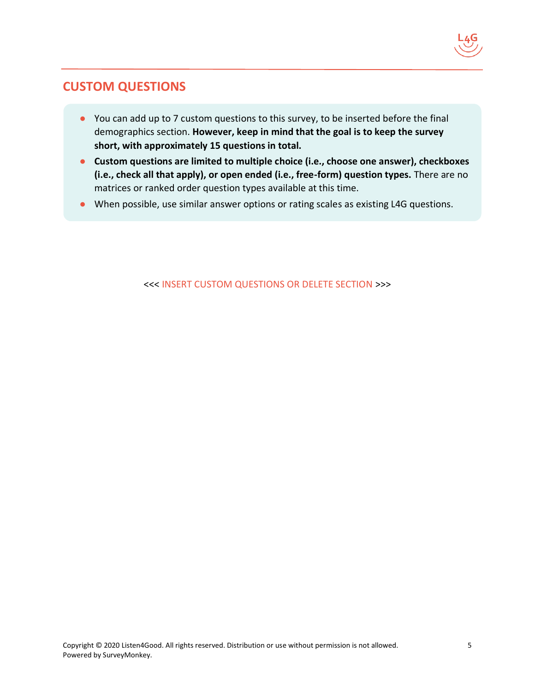

#### **CUSTOM QUESTIONS**

- You can add up to 7 custom questions to this survey, to be inserted before the final demographics section. **However, keep in mind that the goal is to keep the survey short, with approximately 15 questions in total.**
- **Custom questions are limited to multiple choice (i.e., choose one answer), checkboxes (i.e., check all that apply), or open ended (i.e., free-form) question types.** There are no matrices or ranked order question types available at this time.
- When possible, use similar answer options or rating scales as existing L4G questions.

<<< INSERT CUSTOM QUESTIONS OR DELETE SECTION >>>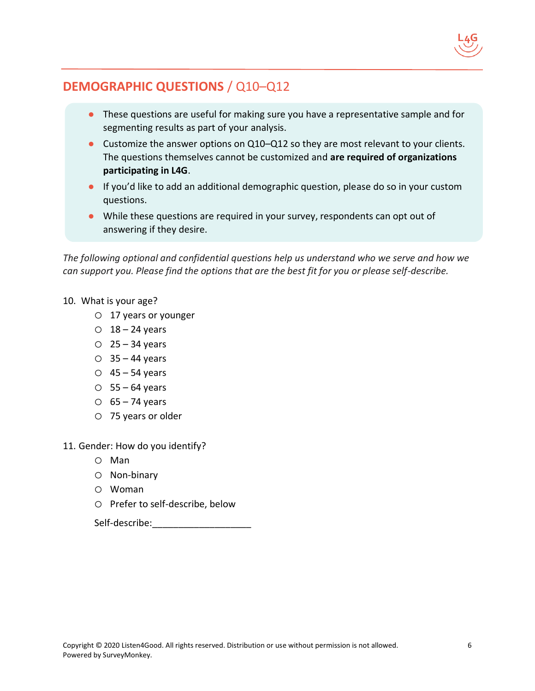

## **DEMOGRAPHIC QUESTIONS** / Q10–Q12

- These questions are useful for making sure you have a representative sample and for segmenting results as part of your analysis.
- Customize the answer options on Q10–Q12 so they are most relevant to your clients. The questions themselves cannot be customized and **are required of organizations participating in L4G**.
- If you'd like to add an additional demographic question, please do so in your custom questions.
- While these questions are required in your survey, respondents can opt out of answering if they desire.

*The following optional and confidential questions help us understand who we serve and how we can support you. Please find the options that are the best fit for you or please self-describe.* 

- 10. What is your age?
	- o 17 years or younger
	- $O$  18 24 years
	- $O$  25 34 years
	- $O$  35 44 years
	- $O$  45 54 years
	- $O$  55 64 years
	- $O$  65 74 years
	- o 75 years or older
- 11. Gender: How do you identify?
	- o Man
	- o Non-binary
	- o Woman
	- o Prefer to self-describe, below

Self-describe: